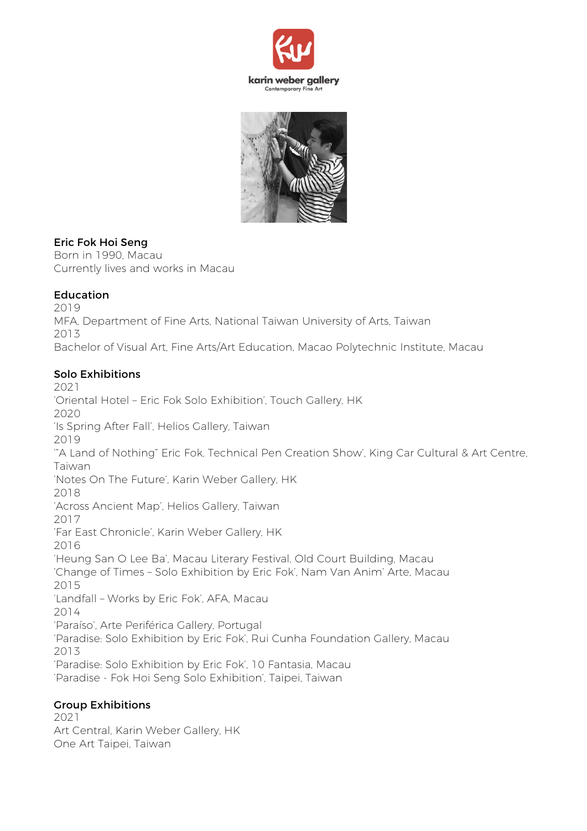



#### Eric Fok Hoi Seng

Born in 1990, Macau Currently lives and works in Macau

#### Education

2019 MFA, Department of Fine Arts, National Taiwan University of Arts, Taiwan 2013 Bachelor of Visual Art, Fine Arts/Art Education, Macao Polytechnic Institute, Macau

### Solo Exhibitions

2021 'Oriental Hotel – Eric Fok Solo Exhibition', Touch Gallery, HK 2020 'Is Spring After Fall', Helios Gallery, Taiwan 2019 '"A Land of Nothing" Eric Fok, Technical Pen Creation Show', King Car Cultural & Art Centre, Taiwan 'Notes On The Future', Karin Weber Gallery, HK 2018 'Across Ancient Map', Helios Gallery, Taiwan 2017 'Far East Chronicle', Karin Weber Gallery, HK 2016 'Heung San O Lee Ba', Macau Literary Festival, Old Court Building, Macau 'Change of Times – Solo Exhibition by Eric Fok', Nam Van Anim' Arte, Macau 2015 'Landfall – Works by Eric Fok', AFA, Macau 2014 'Paraíso', Arte Periférica Gallery, Portugal 'Paradise: Solo Exhibition by Eric Fok', Rui Cunha Foundation Gallery, Macau 2013 'Paradise: Solo Exhibition by Eric Fok', 10 Fantasia, Macau 'Paradise - Fok Hoi Seng Solo Exhibition', Taipei, Taiwan

#### Group Exhibitions

2021 Art Central, Karin Weber Gallery, HK One Art Taipei, Taiwan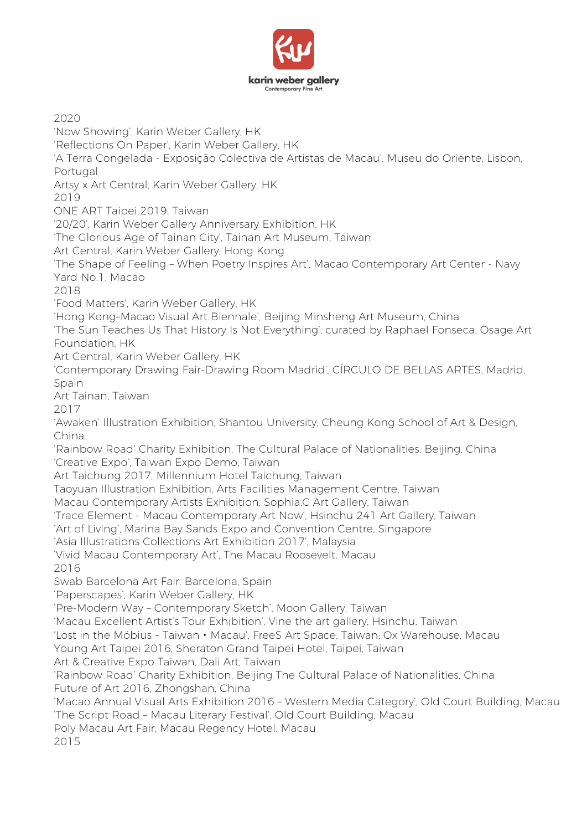

2020 'Now Showing', Karin Weber Gallery, HK 'Reflections On Paper', Karin Weber Gallery, HK 'A Terra Congelada - Exposição Colectiva de Artistas de Macau', Museu do Oriente, Lisbon, Portugal Artsy x Art Central, Karin Weber Gallery, HK 2019 ONE ART Taipei 2019, Taiwan '20/20', Karin Weber Gallery Anniversary Exhibition, HK 'The Glorious Age of Tainan City', Tainan Art Museum, Taiwan Art Central, Karin Weber Gallery, Hong Kong 'The Shape of Feeling – When Poetry Inspires Art', Macao Contemporary Art Center - Navy Yard No.1, Macao 2018 'Food Matters', Karin Weber Gallery, HK 'Hong Kong–Macao Visual Art Biennale', Beijing Minsheng Art Museum, China 'The Sun Teaches Us That History Is Not Everything', curated by Raphael Fonseca, Osage Art Foundation, HK Art Central, Karin Weber Gallery, HK 'Contemporary Drawing Fair-Drawing Room Madrid', CÍRCULO DE BELLAS ARTES, Madrid, Spain Art Tainan, Taiwan 2017 'Awaken' Illustration Exhibition, Shantou University, Cheung Kong School of Art & Design, China 'Rainbow Road' Charity Exhibition, The Cultural Palace of Nationalities, Beijing, China 'Creative Expo', Taiwan Expo Demo, Taiwan Art Taichung 2017, Millennium Hotel Taichung, Taiwan Taoyuan Illustration Exhibition, Arts Facilities Management Centre, Taiwan Macau Contemporary Artists Exhibition, Sophia.C Art Gallery, Taiwan 'Trace Element - Macau Contemporary Art Now', Hsinchu 241 Art Gallery, Taiwan 'Art of Living', Marina Bay Sands Expo and Convention Centre, Singapore 'Asia Illustrations Collections Art Exhibition 2017', Malaysia 'Vivid Macau Contemporary Art', The Macau Roosevelt, Macau 2016 Swab Barcelona Art Fair, Barcelona, Spain 'Paperscapes', Karin Weber Gallery, HK 'Pre-Modern Way – Contemporary Sketch', Moon Gallery, Taiwan 'Macau Excellent Artist's Tour Exhibition', Vine the art gallery, Hsinchu, Taiwan 'Lost in the Möbius - Taiwan • Macau', FreeS Art Space, Taiwan; Ox Warehouse, Macau Young Art Taipei 2016, Sheraton Grand Taipei Hotel, Taipei, Taiwan Art & Creative Expo Taiwan, Dali Art, Taiwan 'Rainbow Road' Charity Exhibition, Beijing The Cultural Palace of Nationalities, China Future of Art 2016, Zhongshan, China 'Macao Annual Visual Arts Exhibition 2016 – Western Media Category', Old Court Building, Macau 'The Script Road – Macau Literary Festival', Old Court Building, Macau Poly Macau Art Fair, Macau Regency Hotel, Macau 2015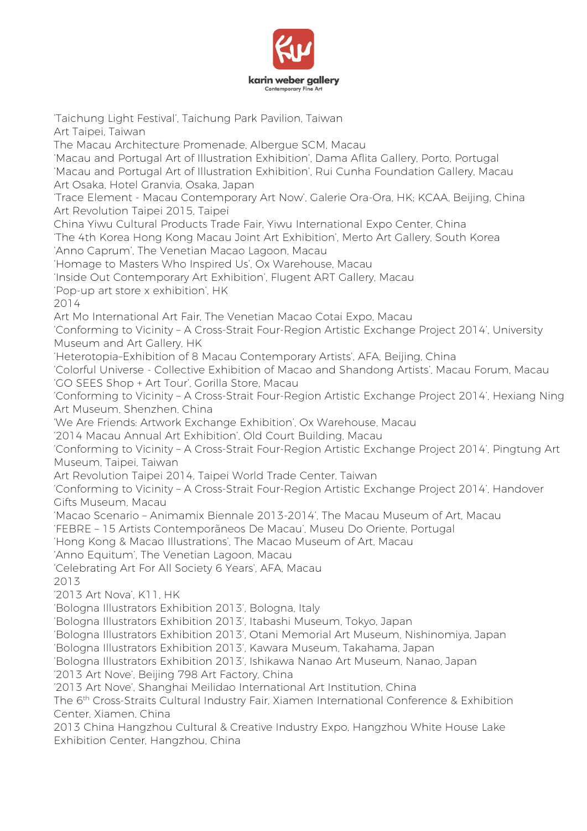

'Taichung Light Festival', Taichung Park Pavilion, Taiwan Art Taipei, Taiwan The Macau Architecture Promenade, Albergue SCM, Macau 'Macau and Portugal Art of Illustration Exhibition', Dama Aflita Gallery, Porto, Portugal 'Macau and Portugal Art of Illustration Exhibition', Rui Cunha Foundation Gallery, Macau Art Osaka, Hotel Granvia, Osaka, Japan 'Trace Element - Macau Contemporary Art Now', Galerie Ora-Ora, HK; KCAA, Beijing, China Art Revolution Taipei 2015, Taipei China Yiwu Cultural Products Trade Fair, Yiwu International Expo Center, China 'The 4th Korea Hong Kong Macau Joint Art Exhibition', Merto Art Gallery, South Korea 'Anno Caprum', The Venetian Macao Lagoon, Macau 'Homage to Masters Who Inspired Us', Ox Warehouse, Macau 'Inside Out Contemporary Art Exhibition', Flugent ART Gallery, Macau 'Pop-up art store x exhibition', HK 2014 Art Mo International Art Fair, The Venetian Macao Cotai Expo, Macau 'Conforming to Vicinity – A Cross-Strait Four-Region Artistic Exchange Project 2014', University Museum and Art Gallery, HK 'Heterotopia–Exhibition of 8 Macau Contemporary Artists', AFA, Beijing, China 'Colorful Universe - Collective Exhibition of Macao and Shandong Artists', Macau Forum, Macau 'GO SEES Shop + Art Tour', Gorilla Store, Macau 'Conforming to Vicinity – A Cross-Strait Four-Region Artistic Exchange Project 2014', Hexiang Ning Art Museum, Shenzhen, China 'We Are Friends: Artwork Exchange Exhibition', Ox Warehouse, Macau '2014 Macau Annual Art Exhibition', Old Court Building, Macau 'Conforming to Vicinity – A Cross-Strait Four-Region Artistic Exchange Project 2014', Pingtung Art Museum, Taipei, Taiwan Art Revolution Taipei 2014, Taipei World Trade Center, Taiwan 'Conforming to Vicinity – A Cross-Strait Four-Region Artistic Exchange Project 2014', Handover Gifts Museum, Macau 'Macao Scenario – Animamix Biennale 2013-2014', The Macau Museum of Art, Macau 'FEBRE – 15 Artists Contemporãneos De Macau', Museu Do Oriente, Portugal 'Hong Kong & Macao Illustrations', The Macao Museum of Art, Macau 'Anno Equitum', The Venetian Lagoon, Macau 'Celebrating Art For All Society 6 Years', AFA, Macau 2013 '2013 Art Nova', K11, HK 'Bologna Illustrators Exhibition 2013', Bologna, Italy 'Bologna Illustrators Exhibition 2013', Itabashi Museum, Tokyo, Japan 'Bologna Illustrators Exhibition 2013', Otani Memorial Art Museum, Nishinomiya, Japan 'Bologna Illustrators Exhibition 2013', Kawara Museum, Takahama, Japan 'Bologna Illustrators Exhibition 2013', Ishikawa Nanao Art Museum, Nanao, Japan '2013 Art Nove', Beijing 798 Art Factory, China '2013 Art Nove', Shanghai Meilidao International Art Institution, China The 6<sup>th</sup> Cross-Straits Cultural Industry Fair, Xiamen International Conference & Exhibition Center, Xiamen, China 2013 China Hangzhou Cultural & Creative Industry Expo, Hangzhou White House Lake Exhibition Center, Hangzhou, China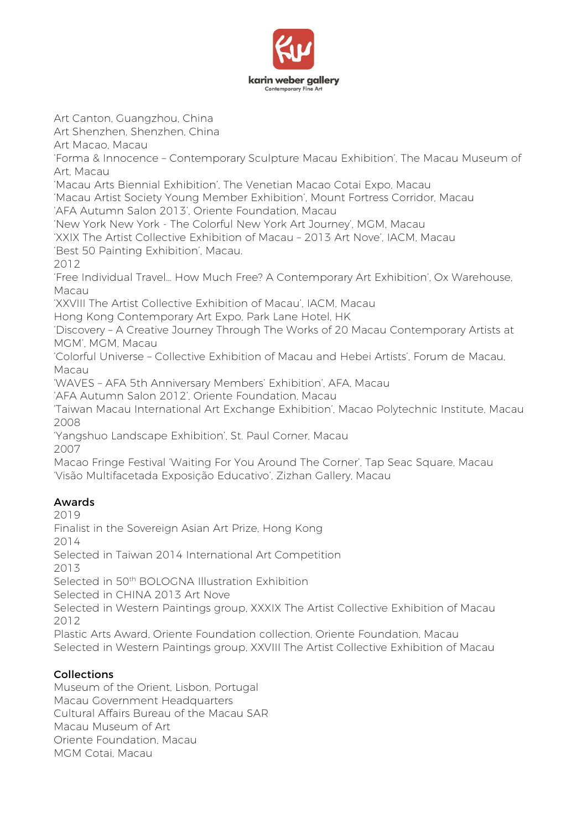

Art Canton, Guangzhou, China

Art Shenzhen, Shenzhen, China

Art Macao, Macau

'Forma & Innocence – Contemporary Sculpture Macau Exhibition', The Macau Museum of Art, Macau

'Macau Arts Biennial Exhibition', The Venetian Macao Cotai Expo, Macau

'Macau Artist Society Young Member Exhibition', Mount Fortress Corridor, Macau 'AFA Autumn Salon 2013', Oriente Foundation, Macau

'New York New York - The Colorful New York Art Journey', MGM, Macau

'XXIX The Artist Collective Exhibition of Macau – 2013 Art Nove', IACM, Macau

'Best 50 Painting Exhibition', Macau.

2012

'Free Individual Travel… How Much Free? A Contemporary Art Exhibition', Ox Warehouse, Macau

'XXVIII The Artist Collective Exhibition of Macau', IACM, Macau

Hong Kong Contemporary Art Expo, Park Lane Hotel, HK

'Discovery – A Creative Journey Through The Works of 20 Macau Contemporary Artists at MGM', MGM, Macau

'Colorful Universe – Collective Exhibition of Macau and Hebei Artists', Forum de Macau, Macau

'WAVES – AFA 5th Anniversary Members' Exhibition', AFA, Macau

'AFA Autumn Salon 2012', Oriente Foundation, Macau

'Taiwan Macau International Art Exchange Exhibition', Macao Polytechnic Institute, Macau 2008

'Yangshuo Landscape Exhibition', St. Paul Corner, Macau 2007

Macao Fringe Festival 'Waiting For You Around The Corner', Tap Seac Square, Macau 'Visão Multifacetada Exposição Educativo', Zizhan Gallery, Macau

# Awards

2019

Finalist in the Sovereign Asian Art Prize, Hong Kong

2014

Selected in Taiwan 2014 International Art Competition 2013

Selected in 50th BOLOGNA Illustration Exhibition

Selected in CHINA 2013 Art Nove

Selected in Western Paintings group, XXXIX The Artist Collective Exhibition of Macau 2012

Plastic Arts Award, Oriente Foundation collection, Oriente Foundation, Macau Selected in Western Paintings group, XXVIII The Artist Collective Exhibition of Macau

## Collections

Museum of the Orient, Lisbon, Portugal Macau Government Headquarters Cultural Affairs Bureau of the Macau SAR Macau Museum of Art Oriente Foundation, Macau MGM Cotai, Macau